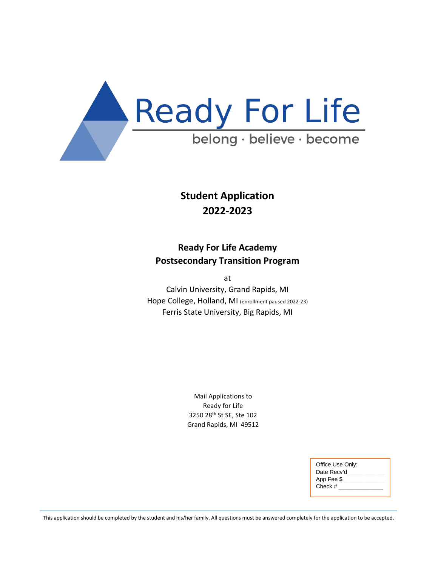

## **Student Application 2022-2023**

## **Ready For Life Academy Postsecondary Transition Program**

at

Calvin University, Grand Rapids, MI Hope College, Holland, MI (enrollment paused 2022-23) Ferris State University, Big Rapids, MI

> Mail Applications to Ready for Life 3250 28th St SE, Ste 102 Grand Rapids, MI 49512

| Office Use Only: |
|------------------|
| Date Recv'd      |
| App Fee \$       |
| Check #          |
|                  |

This application should be completed by the student and his/her family. All questions must be answered completely for the application to be accepted.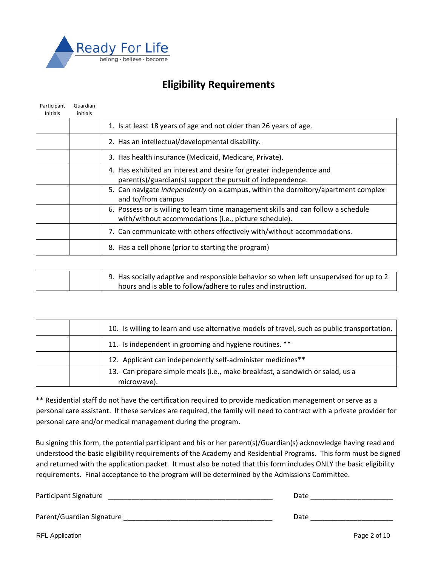

## **Eligibility Requirements**

| Participant     | Guardian |                                                                                    |
|-----------------|----------|------------------------------------------------------------------------------------|
| <b>Initials</b> | initials |                                                                                    |
|                 |          | 1. Is at least 18 years of age and not older than 26 years of age.                 |
|                 |          | 2. Has an intellectual/developmental disability.                                   |
|                 |          | 3. Has health insurance (Medicaid, Medicare, Private).                             |
|                 |          | 4. Has exhibited an interest and desire for greater independence and               |
|                 |          | parent(s)/guardian(s) support the pursuit of independence.                         |
|                 |          | 5. Can navigate independently on a campus, within the dormitory/apartment complex  |
|                 |          | and to/from campus                                                                 |
|                 |          | 6. Possess or is willing to learn time management skills and can follow a schedule |
|                 |          | with/without accommodations (i.e., picture schedule).                              |
|                 |          | 7. Can communicate with others effectively with/without accommodations.            |
|                 |          | 8. Has a cell phone (prior to starting the program)                                |

| 9. Has socially adaptive and responsible behavior so when left unsupervised for up to 2 |
|-----------------------------------------------------------------------------------------|
| hours and is able to follow/adhere to rules and instruction.                            |

|  | 10. Is willing to learn and use alternative models of travel, such as public transportation. |
|--|----------------------------------------------------------------------------------------------|
|  | 11. Is independent in grooming and hygiene routines. **                                      |
|  | 12. Applicant can independently self-administer medicines**                                  |
|  | 13. Can prepare simple meals (i.e., make breakfast, a sandwich or salad, us a                |
|  | microwave).                                                                                  |

\*\* Residential staff do not have the certification required to provide medication management or serve as a personal care assistant. If these services are required, the family will need to contract with a private provider for personal care and/or medical management during the program.

Bu signing this form, the potential participant and his or her parent(s)/Guardian(s) acknowledge having read and understood the basic eligibility requirements of the Academy and Residential Programs. This form must be signed and returned with the application packet. It must also be noted that this form includes ONLY the basic eligibility requirements. Final acceptance to the program will be determined by the Admissions Committee.

Participant Signature **Law Executive Signature** 2011 12:00 2012 12:00 2012 12:00 2012 12:00 2012 12:00 2012 12:00 Parent/Guardian Signature \_\_\_\_\_\_\_\_\_\_\_\_\_\_\_\_\_\_\_\_\_\_\_\_\_\_\_\_\_\_\_\_\_\_\_\_\_\_ Date \_\_\_\_\_\_\_\_\_\_\_\_\_\_\_\_\_\_\_\_\_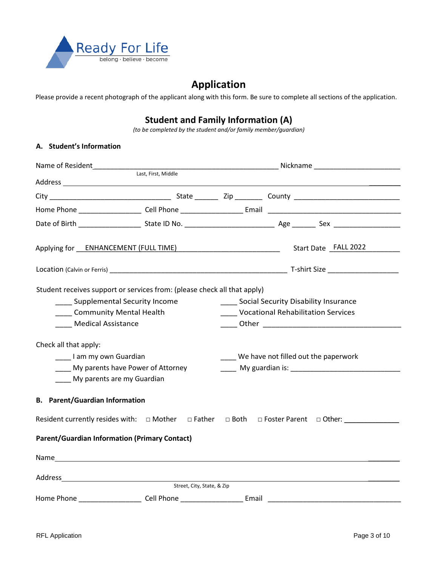

## **Application**

Please provide a recent photograph of the applicant along with this form. Be sure to complete all sections of the application.

### **Student and Family Information (A)**

*(to be completed by the student and/or family member/guardian)*

#### **A. Student's Information**

|                                                      |                                                                          | Applying for ENHANCEMENT (FULL TIME) Manual Contract Contract Cata Case Start Date FALL 2022                                                                                                                                                                               |  |  |
|------------------------------------------------------|--------------------------------------------------------------------------|----------------------------------------------------------------------------------------------------------------------------------------------------------------------------------------------------------------------------------------------------------------------------|--|--|
|                                                      |                                                                          |                                                                                                                                                                                                                                                                            |  |  |
|                                                      | Student receives support or services from: (please check all that apply) |                                                                                                                                                                                                                                                                            |  |  |
|                                                      | Supplemental Security Income                                             | ____ Social Security Disability Insurance                                                                                                                                                                                                                                  |  |  |
| ____ Community Mental Health                         |                                                                          | <b>Vocational Rehabilitation Services</b>                                                                                                                                                                                                                                  |  |  |
| <b>Medical Assistance</b>                            |                                                                          |                                                                                                                                                                                                                                                                            |  |  |
| Check all that apply:<br>____I am my own Guardian    | My parents have Power of Attorney                                        | ____ We have not filled out the paperwork<br>My guardian is: Note that the matter of the state of the state of the state of the state of the state of the state of the state of the state of the state of the state of the state of the state of the state of the state of |  |  |
| My parents are my Guardian                           |                                                                          |                                                                                                                                                                                                                                                                            |  |  |
| <b>B.</b> Parent/Guardian Information                |                                                                          |                                                                                                                                                                                                                                                                            |  |  |
|                                                      |                                                                          | Resident currently resides with: □ Mother □ Father □ Both □ Foster Parent □ Other: ________________                                                                                                                                                                        |  |  |
| <b>Parent/Guardian Information (Primary Contact)</b> |                                                                          |                                                                                                                                                                                                                                                                            |  |  |
|                                                      |                                                                          |                                                                                                                                                                                                                                                                            |  |  |
|                                                      |                                                                          |                                                                                                                                                                                                                                                                            |  |  |
|                                                      | Street, City, State, & Zip                                               |                                                                                                                                                                                                                                                                            |  |  |
|                                                      |                                                                          |                                                                                                                                                                                                                                                                            |  |  |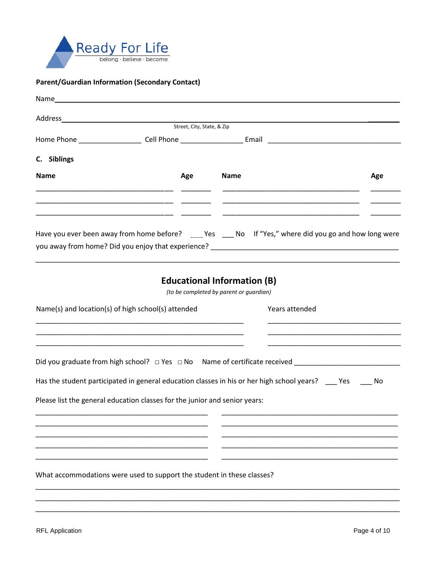

#### **Parent/Guardian Information (Secondary Contact)**

|                                                                                                                                                                                                                                           |                                                             | Street, City, State, & Zip |                                                                               |                |     |
|-------------------------------------------------------------------------------------------------------------------------------------------------------------------------------------------------------------------------------------------|-------------------------------------------------------------|----------------------------|-------------------------------------------------------------------------------|----------------|-----|
| Home Phone <b>Example 2018</b> Cell Phone <b>Contract Contract Contract Contract Contract Contract Contract Contract Contract Contract Contract Contract Contract Contract Contract Contract Contract Contract Contract Contract Cont</b> |                                                             |                            |                                                                               |                |     |
| C. Siblings                                                                                                                                                                                                                               |                                                             |                            |                                                                               |                |     |
| <b>Name</b>                                                                                                                                                                                                                               |                                                             | Age                        | <b>Name</b>                                                                   |                | Age |
|                                                                                                                                                                                                                                           |                                                             |                            |                                                                               |                |     |
| Have you ever been away from home before? ___ Yes ___ No If "Yes," where did you go and how long were                                                                                                                                     |                                                             |                            |                                                                               |                |     |
|                                                                                                                                                                                                                                           |                                                             |                            | <b>Educational Information (B)</b><br>(to be completed by parent or guardian) |                |     |
| Name(s) and location(s) of high school(s) attended                                                                                                                                                                                        | <u> 1989 - Johann Stoff, amerikansk politiker (d. 1989)</u> |                            |                                                                               | Years attended |     |
| Has the student participated in general education classes in his or her high school years? ___ Yes ___                                                                                                                                    |                                                             |                            |                                                                               |                | No  |
| Please list the general education classes for the junior and senior years:                                                                                                                                                                |                                                             |                            |                                                                               |                |     |
|                                                                                                                                                                                                                                           |                                                             |                            |                                                                               |                |     |
| What accommodations were used to support the student in these classes?                                                                                                                                                                    |                                                             |                            |                                                                               |                |     |
|                                                                                                                                                                                                                                           |                                                             |                            |                                                                               |                |     |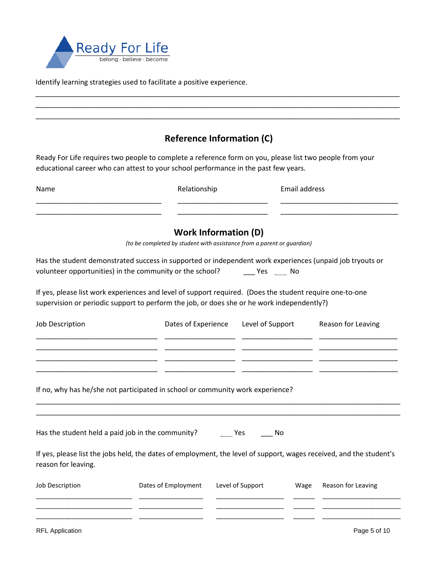

Identify learning strategies used to facilitate a positive experience.

# \_\_\_\_\_\_\_\_\_\_\_\_\_\_\_\_\_\_\_\_\_\_\_\_\_\_\_\_\_\_\_\_\_\_\_\_\_\_\_\_\_\_\_\_\_\_\_\_\_\_\_\_\_\_\_\_\_\_\_\_\_\_\_\_\_\_\_\_\_\_\_\_\_\_\_\_\_\_\_\_\_\_\_\_\_\_\_\_\_\_\_\_\_ \_\_\_\_\_\_\_\_\_\_\_\_\_\_\_\_\_\_\_\_\_\_\_\_\_\_\_\_\_\_\_\_\_\_\_\_\_\_\_\_\_\_\_\_\_\_\_\_\_\_\_\_\_\_\_\_\_\_\_\_\_\_\_\_\_\_\_\_\_\_\_\_\_\_\_\_\_\_\_\_\_\_\_\_\_\_\_\_\_\_\_\_\_ \_\_\_\_\_\_\_\_\_\_\_\_\_\_\_\_\_\_\_\_\_\_\_\_\_\_\_\_\_\_\_\_\_\_\_\_\_\_\_\_\_\_\_\_\_\_\_\_\_\_\_\_\_\_\_\_\_\_\_\_\_\_\_\_\_\_\_\_\_\_\_\_\_\_\_\_\_\_\_\_\_\_\_\_\_\_\_\_\_\_\_\_\_ **Reference Information (C)**  Ready For Life requires two people to complete a reference form on you, please list two people from your educational career who can attest to your school performance in the past few years. Name **Name Relationship** Email address \_\_\_\_\_\_\_\_\_\_\_\_\_\_\_\_\_\_\_\_\_\_\_\_\_\_\_\_\_\_\_\_ \_\_\_\_\_\_\_\_\_\_\_\_\_\_\_\_\_\_\_\_\_\_\_ \_\_\_\_\_\_\_\_\_\_\_\_\_\_\_\_\_\_\_\_\_\_\_\_\_\_\_\_\_\_ \_\_\_\_\_\_\_\_\_\_\_\_\_\_\_\_\_\_\_\_\_\_\_\_\_\_\_\_\_\_\_\_ \_\_\_\_\_\_\_\_\_\_\_\_\_\_\_\_\_\_\_\_\_\_\_ \_\_\_\_\_\_\_\_\_\_\_\_\_\_\_\_\_\_\_\_\_\_\_\_\_\_\_\_\_\_ **Work Information (D)**  *(to be completed by student with assistance from a parent or guardian)* Has the student demonstrated success in supported or independent work experiences (unpaid job tryouts or volunteer opportunities) in the community or the school? \_\_\_\_\_\_ Yes \_\_\_\_\_ No If yes, please list work experiences and level of support required. (Does the student require one-to-one supervision or periodic support to perform the job, or does she or he work independently?) Job Description **Dates of Experience** Level of Support Reason for Leaving \_\_\_\_\_\_\_\_\_\_\_\_\_\_\_\_\_\_\_\_\_\_\_\_\_\_\_\_\_\_\_ \_\_\_\_\_\_\_\_\_\_\_\_\_\_\_\_\_\_ \_\_\_\_\_\_\_\_\_\_\_\_\_\_\_\_\_\_ \_\_\_\_\_\_\_\_\_\_\_\_\_\_\_\_\_\_\_\_ \_\_\_\_\_\_\_\_\_\_\_\_\_\_\_\_\_\_\_\_\_\_\_\_\_\_\_\_\_\_\_ \_\_\_\_\_\_\_\_\_\_\_\_\_\_\_\_\_\_ \_\_\_\_\_\_\_\_\_\_\_\_\_\_\_\_\_\_ \_\_\_\_\_\_\_\_\_\_\_\_\_\_\_\_\_\_\_\_ \_\_\_\_\_\_\_\_\_\_\_\_\_\_\_\_\_\_\_\_\_\_\_\_\_\_\_\_\_\_\_ \_\_\_\_\_\_\_\_\_\_\_\_\_\_\_\_\_\_ \_\_\_\_\_\_\_\_\_\_\_\_\_\_\_\_\_\_ \_\_\_\_\_\_\_\_\_\_\_\_\_\_\_\_\_\_\_\_ \_\_\_\_\_\_\_\_\_\_\_\_\_\_\_\_\_\_\_\_\_\_\_\_\_\_\_\_\_\_\_ \_\_\_\_\_\_\_\_\_\_\_\_\_\_\_\_\_\_ \_\_\_\_\_\_\_\_\_\_\_\_\_\_\_\_\_\_ \_\_\_\_\_\_\_\_\_\_\_\_\_\_\_\_\_\_\_\_ If no, why has he/she not participated in school or community work experience? \_\_\_\_\_\_\_\_\_\_\_\_\_\_\_\_\_\_\_\_\_\_\_\_\_\_\_\_\_\_\_\_\_\_\_\_\_\_\_\_\_\_\_\_\_\_\_\_\_\_\_\_\_\_\_\_\_\_\_\_\_\_\_\_\_\_\_\_\_\_\_\_\_\_\_\_\_\_\_\_\_\_\_\_\_\_\_\_\_\_\_\_\_ \_\_\_\_\_\_\_\_\_\_\_\_\_\_\_\_\_\_\_\_\_\_\_\_\_\_\_\_\_\_\_\_\_\_\_\_\_\_\_\_\_\_\_\_\_\_\_\_\_\_\_\_\_\_\_\_\_\_\_\_\_\_\_\_\_\_\_\_\_\_\_\_\_\_\_\_\_\_\_\_\_\_\_\_\_\_\_\_\_\_\_\_\_ Has the student held a paid job in the community? \_\_\_\_\_\_\_ Yes \_\_\_\_\_\_ No If yes, please list the jobs held, the dates of employment, the level of support, wages received, and the student's reason for leaving. Job Description Dates of Employment Level of Support Wage Reason for Leaving \_\_\_\_\_\_\_\_\_\_\_\_\_\_\_\_\_\_\_\_\_\_\_\_\_\_\_ \_\_\_\_\_\_\_\_\_\_\_\_\_\_\_\_\_\_ \_\_\_\_\_\_\_\_\_\_\_\_\_\_\_\_\_\_\_ \_\_\_\_\_\_ \_\_\_\_\_\_\_\_\_\_\_\_\_\_\_\_\_\_\_\_\_\_ \_\_\_\_\_\_\_\_\_\_\_\_\_\_\_\_\_\_\_\_\_\_\_\_\_\_\_ \_\_\_\_\_\_\_\_\_\_\_\_\_\_\_\_\_\_ \_\_\_\_\_\_\_\_\_\_\_\_\_\_\_\_\_\_\_ \_\_\_\_\_\_ \_\_\_\_\_\_\_\_\_\_\_\_\_\_\_\_\_\_\_\_\_\_ \_\_\_\_\_\_\_\_\_\_\_\_\_\_\_\_\_\_\_\_\_\_\_\_\_\_\_ \_\_\_\_\_\_\_\_\_\_\_\_\_\_\_\_\_\_ \_\_\_\_\_\_\_\_\_\_\_\_\_\_\_\_\_\_\_ \_\_\_\_\_\_ \_\_\_\_\_\_\_\_\_\_\_\_\_\_\_\_\_\_\_\_\_\_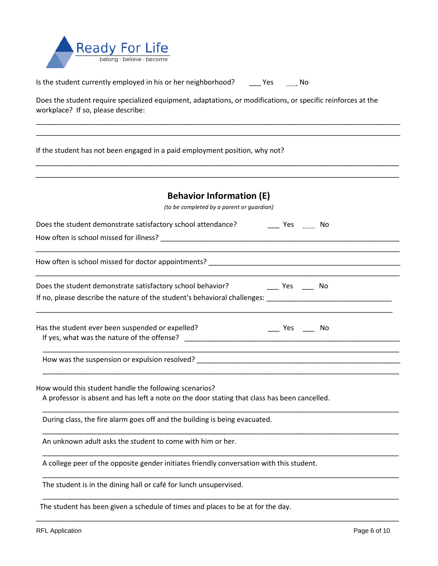

| Is the student currently employed in his or her neighborhood? | Yes | No |
|---------------------------------------------------------------|-----|----|
|---------------------------------------------------------------|-----|----|

Does the student require specialized equipment, adaptations, or modifications, or specific reinforces at the workplace? If so, please describe:

\_\_\_\_\_\_\_\_\_\_\_\_\_\_\_\_\_\_\_\_\_\_\_\_\_\_\_\_\_\_\_\_\_\_\_\_\_\_\_\_\_\_\_\_\_\_\_\_\_\_\_\_\_\_\_\_\_\_\_\_\_\_\_\_\_\_\_\_\_\_\_\_\_\_\_\_\_\_\_\_\_\_\_\_\_\_\_\_\_\_\_\_\_ \_\_\_\_\_\_\_\_\_\_\_\_\_\_\_\_\_\_\_\_\_\_\_\_\_\_\_\_\_\_\_\_\_\_\_\_\_\_\_\_\_\_\_\_\_\_\_\_\_\_\_\_\_\_\_\_\_\_\_\_\_\_\_\_\_\_\_\_\_\_\_\_\_\_\_\_\_\_\_\_\_\_\_\_\_\_\_\_\_\_\_\_\_

If the student has not been engaged in a paid employment position, why not?

| <b>Behavior Information (E)</b>                                                                                              |  |
|------------------------------------------------------------------------------------------------------------------------------|--|
| (to be completed by a parent or guardian)                                                                                    |  |
| Does the student demonstrate satisfactory school attendance? The Mondon Mondon Mondon Mondon Mondon Mondon Mo                |  |
|                                                                                                                              |  |
|                                                                                                                              |  |
| Does the student demonstrate satisfactory school behavior?                                                                   |  |
|                                                                                                                              |  |
| Has the student ever been suspended or expelled?<br>$\frac{1}{\sqrt{1-\frac{1}{2}}}$ Yes $\frac{1}{\sqrt{1-\frac{1}{2}}}$ No |  |
|                                                                                                                              |  |
|                                                                                                                              |  |
| How would this student handle the following scenarios?                                                                       |  |
| A professor is absent and has left a note on the door stating that class has been cancelled.                                 |  |
| During class, the fire alarm goes off and the building is being evacuated.                                                   |  |
| An unknown adult asks the student to come with him or her.                                                                   |  |
| A college peer of the opposite gender initiates friendly conversation with this student.                                     |  |
| The student is in the dining hall or café for lunch unsupervised.                                                            |  |

\_\_\_\_\_\_\_\_\_\_\_\_\_\_\_\_\_\_\_\_\_\_\_\_\_\_\_\_\_\_\_\_\_\_\_\_\_\_\_\_\_\_\_\_\_\_\_\_\_\_\_\_\_\_\_\_\_\_\_\_\_\_\_\_\_\_\_\_\_\_\_\_\_\_\_\_\_\_\_\_\_\_\_\_\_\_\_\_\_\_\_

\_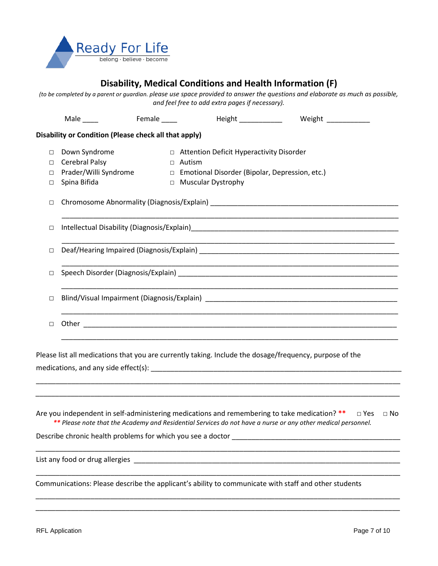

### **Disability, Medical Conditions and Health Information (F)**

*(to be completed by a parent or guardian. please use space provided to answer the questions and elaborate as much as possible, and feel free to add extra pages if necessary).*

|                        | Male $\qquad$                                                            | Female _____  |                                                                                                                        | Height _______________ Weight ___________                                                                                                                                                                                            |  |  |  |
|------------------------|--------------------------------------------------------------------------|---------------|------------------------------------------------------------------------------------------------------------------------|--------------------------------------------------------------------------------------------------------------------------------------------------------------------------------------------------------------------------------------|--|--|--|
|                        | Disability or Condition (Please check all that apply)                    |               |                                                                                                                        |                                                                                                                                                                                                                                      |  |  |  |
| $\Box$<br>□<br>П.<br>□ | Down Syndrome<br>Cerebral Palsy<br>Prader/Willi Syndrome<br>Spina Bifida | $\Box$ Autism | □ Attention Deficit Hyperactivity Disorder<br>□ Emotional Disorder (Bipolar, Depression, etc.)<br>□ Muscular Dystrophy |                                                                                                                                                                                                                                      |  |  |  |
| $\Box$                 |                                                                          |               |                                                                                                                        |                                                                                                                                                                                                                                      |  |  |  |
| □                      |                                                                          |               |                                                                                                                        |                                                                                                                                                                                                                                      |  |  |  |
| □                      |                                                                          |               |                                                                                                                        |                                                                                                                                                                                                                                      |  |  |  |
| □                      |                                                                          |               |                                                                                                                        |                                                                                                                                                                                                                                      |  |  |  |
| □                      |                                                                          |               |                                                                                                                        |                                                                                                                                                                                                                                      |  |  |  |
| $\Box$                 |                                                                          |               |                                                                                                                        |                                                                                                                                                                                                                                      |  |  |  |
|                        |                                                                          |               |                                                                                                                        | Please list all medications that you are currently taking. Include the dosage/frequency, purpose of the                                                                                                                              |  |  |  |
|                        | Describe chronic health problems for which you see a doctor              |               |                                                                                                                        | Are you independent in self-administering medications and remembering to take medication? ** $\Box$ Yes<br>$\Box$ No<br>** Please note that the Academy and Residential Services do not have a nurse or any other medical personnel. |  |  |  |
|                        |                                                                          |               |                                                                                                                        |                                                                                                                                                                                                                                      |  |  |  |
|                        |                                                                          |               |                                                                                                                        | Communications: Please describe the applicant's ability to communicate with staff and other students                                                                                                                                 |  |  |  |

\_\_\_\_\_\_\_\_\_\_\_\_\_\_\_\_\_\_\_\_\_\_\_\_\_\_\_\_\_\_\_\_\_\_\_\_\_\_\_\_\_\_\_\_\_\_\_\_\_\_\_\_\_\_\_\_\_\_\_\_\_\_\_\_\_\_\_\_\_\_\_\_\_\_\_\_\_\_\_\_\_\_\_\_\_\_\_\_\_\_\_\_\_ \_\_\_\_\_\_\_\_\_\_\_\_\_\_\_\_\_\_\_\_\_\_\_\_\_\_\_\_\_\_\_\_\_\_\_\_\_\_\_\_\_\_\_\_\_\_\_\_\_\_\_\_\_\_\_\_\_\_\_\_\_\_\_\_\_\_\_\_\_\_\_\_\_\_\_\_\_\_\_\_\_\_\_\_\_\_\_\_\_\_\_\_\_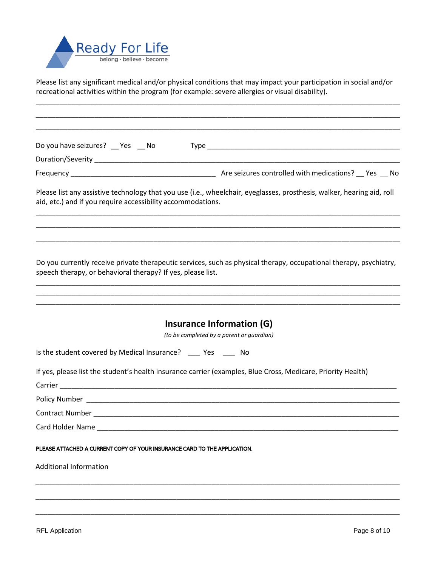

Please list any significant medical and/or physical conditions that may impact your participation in social and/or recreational activities within the program (for example: severe allergies or visual disability).

\_\_\_\_\_\_\_\_\_\_\_\_\_\_\_\_\_\_\_\_\_\_\_\_\_\_\_\_\_\_\_\_\_\_\_\_\_\_\_\_\_\_\_\_\_\_\_\_\_\_\_\_\_\_\_\_\_\_\_\_\_\_\_\_\_\_\_\_\_\_\_\_\_\_\_\_\_\_\_\_\_\_\_\_\_\_\_\_\_\_\_\_\_

| Do you have seizures? _ Yes _ No                                                                             |                                                                                                                        |
|--------------------------------------------------------------------------------------------------------------|------------------------------------------------------------------------------------------------------------------------|
|                                                                                                              |                                                                                                                        |
|                                                                                                              |                                                                                                                        |
| aid, etc.) and if you require accessibility accommodations.                                                  | Please list any assistive technology that you use (i.e., wheelchair, eyeglasses, prosthesis, walker, hearing aid, roll |
|                                                                                                              |                                                                                                                        |
| speech therapy, or behavioral therapy? If yes, please list.                                                  | Do you currently receive private therapeutic services, such as physical therapy, occupational therapy, psychiatry,     |
|                                                                                                              | Insurance Information (G)<br>(to be completed by a parent or guardian)                                                 |
| Is the student covered by Medical Insurance? __ Yes __ No                                                    |                                                                                                                        |
| If yes, please list the student's health insurance carrier (examples, Blue Cross, Medicare, Priority Health) |                                                                                                                        |
|                                                                                                              |                                                                                                                        |
|                                                                                                              |                                                                                                                        |
|                                                                                                              |                                                                                                                        |
| Card Holder Name                                                                                             |                                                                                                                        |
| PLEASE ATTACHED A CURRENT COPY OF YOUR INSURANCE CARD TO THE APPLICATION.                                    |                                                                                                                        |
| <b>Additional Information</b>                                                                                |                                                                                                                        |
|                                                                                                              |                                                                                                                        |
|                                                                                                              |                                                                                                                        |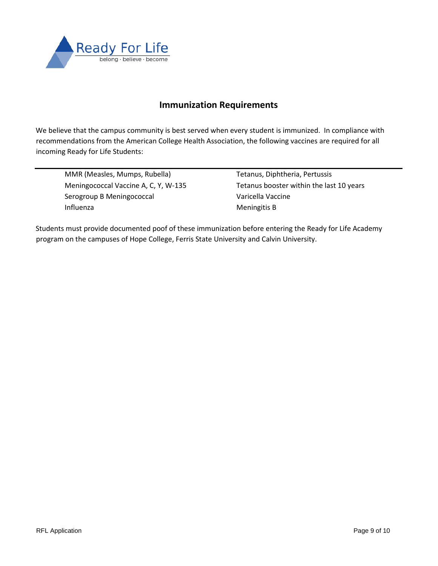

#### **Immunization Requirements**

We believe that the campus community is best served when every student is immunized. In compliance with recommendations from the American College Health Association, the following vaccines are required for all incoming Ready for Life Students:

MMR (Measles, Mumps, Rubella) Tetanus, Diphtheria, Pertussis Serogroup B Meningococcal varicella Vaccine Influenza **Meningitis B** 

Meningococcal Vaccine A, C, Y, W-135 Tetanus booster within the last 10 years

Students must provide documented poof of these immunization before entering the Ready for Life Academy program on the campuses of Hope College, Ferris State University and Calvin University.